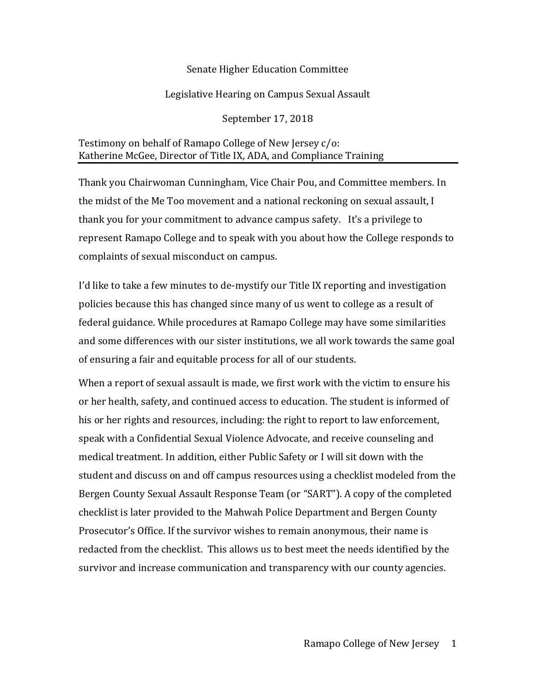## Senate Higher Education Committee

## Legislative Hearing on Campus Sexual Assault

September 17, 2018

## Testimony on behalf of Ramapo College of New Jersey c/o: Katherine McGee, Director of Title IX, ADA, and Compliance Training

Thank you Chairwoman Cunningham, Vice Chair Pou, and Committee members. In the midst of the Me Too movement and a national reckoning on sexual assault, I thank you for your commitment to advance campus safety. It's a privilege to represent Ramapo College and to speak with you about how the College responds to complaints of sexual misconduct on campus.

I'd like to take a few minutes to de-mystify our Title IX reporting and investigation policies because this has changed since many of us went to college as a result of federal guidance. While procedures at Ramapo College may have some similarities and some differences with our sister institutions, we all work towards the same goal of ensuring a fair and equitable process for all of our students.

When a report of sexual assault is made, we first work with the victim to ensure his or her health, safety, and continued access to education. The student is informed of his or her rights and resources, including: the right to report to law enforcement, speak with a Confidential Sexual Violence Advocate, and receive counseling and medical treatment. In addition, either Public Safety or I will sit down with the student and discuss on and off campus resources using a checklist modeled from the Bergen County Sexual Assault Response Team (or "SART"). A copy of the completed checklist is later provided to the Mahwah Police Department and Bergen County Prosecutor's Office. If the survivor wishes to remain anonymous, their name is redacted from the checklist. This allows us to best meet the needs identified by the survivor and increase communication and transparency with our county agencies.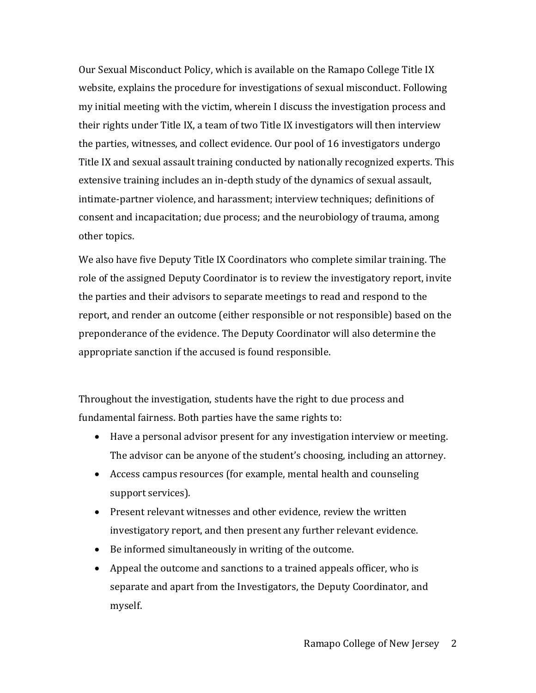Our Sexual Misconduct Policy, which is available on the Ramapo College Title IX website, explains the procedure for investigations of sexual misconduct. Following my initial meeting with the victim, wherein I discuss the investigation process and their rights under Title IX, a team of two Title IX investigators will then interview the parties, witnesses, and collect evidence. Our pool of 16 investigators undergo Title IX and sexual assault training conducted by nationally recognized experts. This extensive training includes an in-depth study of the dynamics of sexual assault, intimate-partner violence, and harassment; interview techniques; definitions of consent and incapacitation; due process; and the neurobiology of trauma, among other topics.

We also have five Deputy Title IX Coordinators who complete similar training. The role of the assigned Deputy Coordinator is to review the investigatory report, invite the parties and their advisors to separate meetings to read and respond to the report, and render an outcome (either responsible or not responsible) based on the preponderance of the evidence. The Deputy Coordinator will also determine the appropriate sanction if the accused is found responsible.

Throughout the investigation, students have the right to due process and fundamental fairness. Both parties have the same rights to:

- Have a personal advisor present for any investigation interview or meeting. The advisor can be anyone of the student's choosing, including an attorney.
- Access campus resources (for example, mental health and counseling support services).
- Present relevant witnesses and other evidence, review the written investigatory report, and then present any further relevant evidence.
- Be informed simultaneously in writing of the outcome.
- Appeal the outcome and sanctions to a trained appeals officer, who is separate and apart from the Investigators, the Deputy Coordinator, and myself.